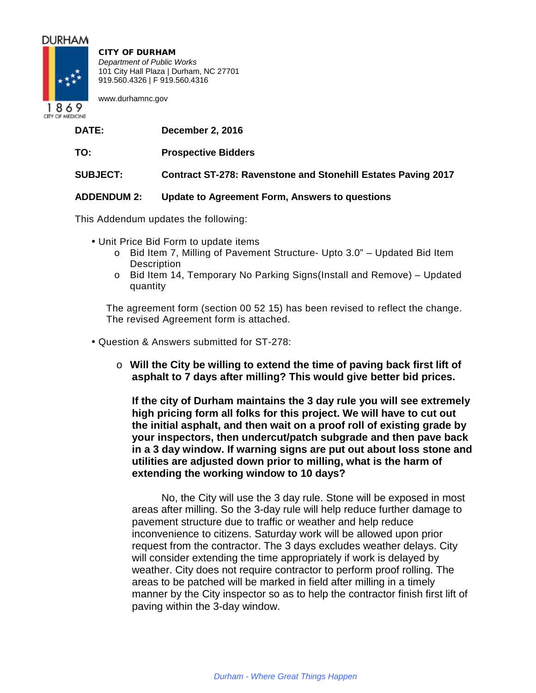# **DURHAM**



CITY OF DURHAM *Department of Public Works* 101 City Hall Plaza | Durham, NC 27701 919.560.4326 | F 919.560.4316

www.durhamnc.gov

CITY OF MEDICINE

- **DATE: December 2, 2016**
- **TO: Prospective Bidders**

# **SUBJECT: Contract ST-278: Ravenstone and Stonehill Estates Paving 2017**

# **ADDENDUM 2: Update to Agreement Form, Answers to questions**

This Addendum updates the following:

- Unit Price Bid Form to update items
	- o Bid Item 7, Milling of Pavement Structure- Upto 3.0" Updated Bid Item **Description**
	- o Bid Item 14, Temporary No Parking Signs(Install and Remove) Updated quantity

The agreement form (section 00 52 15) has been revised to reflect the change. The revised Agreement form is attached.

- Question & Answers submitted for ST-278:
	- o **Will the City be willing to extend the time of paving back first lift of asphalt to 7 days after milling? This would give better bid prices.**

**If the city of Durham maintains the 3 day rule you will see extremely high pricing form all folks for this project. We will have to cut out the initial asphalt, and then wait on a proof roll of existing grade by your inspectors, then undercut/patch subgrade and then pave back in a 3 day window. If warning signs are put out about loss stone and utilities are adjusted down prior to milling, what is the harm of extending the working window to 10 days?**

No, the City will use the 3 day rule. Stone will be exposed in most areas after milling. So the 3-day rule will help reduce further damage to pavement structure due to traffic or weather and help reduce inconvenience to citizens. Saturday work will be allowed upon prior request from the contractor. The 3 days excludes weather delays. City will consider extending the time appropriately if work is delayed by weather. City does not require contractor to perform proof rolling. The areas to be patched will be marked in field after milling in a timely manner by the City inspector so as to help the contractor finish first lift of paving within the 3-day window.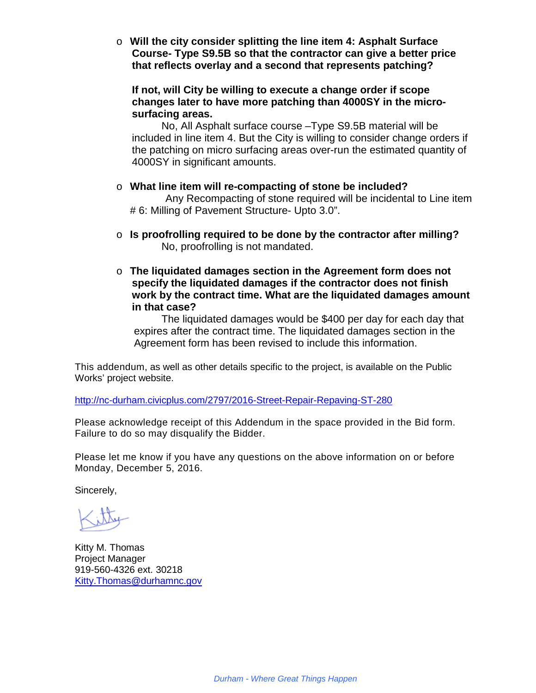o **Will the city consider splitting the line item 4: Asphalt Surface Course- Type S9.5B so that the contractor can give a better price that reflects overlay and a second that represents patching?**

**If not, will City be willing to execute a change order if scope changes later to have more patching than 4000SY in the microsurfacing areas.**

No, All Asphalt surface course –Type S9.5B material will be included in line item 4. But the City is willing to consider change orders if the patching on micro surfacing areas over-run the estimated quantity of 4000SY in significant amounts.

- o **What line item will re-compacting of stone be included?** Any Recompacting of stone required will be incidental to Line item # 6: Milling of Pavement Structure- Upto 3.0".
- o **Is proofrolling required to be done by the contractor after milling?** No, proofrolling is not mandated.
- o **The liquidated damages section in the Agreement form does not specify the liquidated damages if the contractor does not finish work by the contract time. What are the liquidated damages amount in that case?**

The liquidated damages would be \$400 per day for each day that expires after the contract time. The liquidated damages section in the Agreement form has been revised to include this information.

This addendum, as well as other details specific to the project, is available on the Public Works' project website.

http://nc-durham.civicplus.com/2797/2016-Street-Repair-Repaving-ST-280

Please acknowledge receipt of this Addendum in the space provided in the Bid form. Failure to do so may disqualify the Bidder.

Please let me know if you have any questions on the above information on or before Monday, December 5, 2016.

Sincerely,

Kitty M. Thomas Project Manager 919-560-4326 ext. 30218 Kitty.Thomas@durhamnc.gov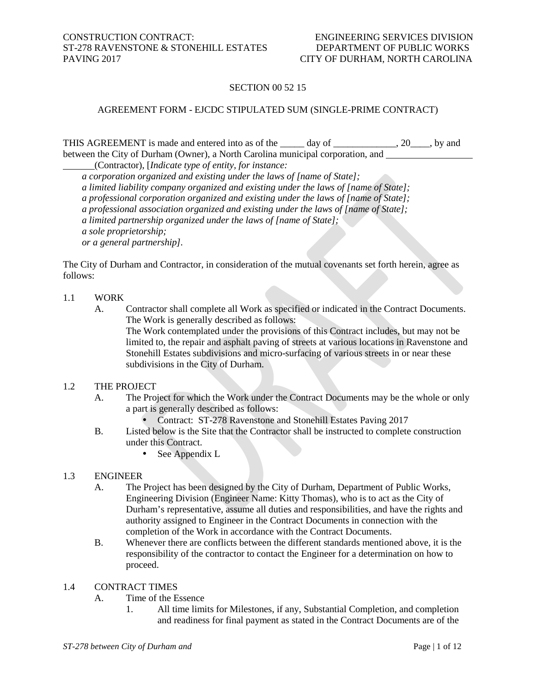# SECTION 00 52 15

#### AGREEMENT FORM - EJCDC STIPULATED SUM (SINGLE-PRIME CONTRACT)

THIS AGREEMENT is made and entered into as of the \_\_\_\_\_ day of \_\_\_\_\_\_\_\_\_\_, 20\_\_\_, by and between the City of Durham (Owner), a North Carolina municipal corporation, and

(Contractor), [*Indicate type of entity, for instance:*

*a corporation organized and existing under the laws of [name of State];*

*a limited liability company organized and existing under the laws of [name of State];*

*a professional corporation organized and existing under the laws of [name of State];*

*a professional association organized and existing under the laws of [name of State];* 

*a limited partnership organized under the laws of [name of State];* 

*a sole proprietorship;* 

*or a general partnership].*

The City of Durham and Contractor, in consideration of the mutual covenants set forth herein, agree as follows:

#### 1.1 WORK

A. Contractor shall complete all Work as specified or indicated in the Contract Documents. The Work is generally described as follows:

The Work contemplated under the provisions of this Contract includes, but may not be limited to, the repair and asphalt paving of streets at various locations in Ravenstone and Stonehill Estates subdivisions and micro-surfacing of various streets in or near these subdivisions in the City of Durham.

#### 1.2 THE PROJECT

- A. The Project for which the Work under the Contract Documents may be the whole or only a part is generally described as follows:
	- Contract: ST-278 Ravenstone and Stonehill Estates Paving 2017
- B. Listed below is the Site that the Contractor shall be instructed to complete construction under this Contract.
	- $\mathcal{L}^{\text{max}}$ See Appendix L

## 1.3 ENGINEER

- A. The Project has been designed by the City of Durham, Department of Public Works, Engineering Division (Engineer Name: Kitty Thomas), who is to act as the City of Durham's representative, assume all duties and responsibilities, and have the rights and authority assigned to Engineer in the Contract Documents in connection with the completion of the Work in accordance with the Contract Documents.
- B. Whenever there are conflicts between the different standards mentioned above, it is the responsibility of the contractor to contact the Engineer for a determination on how to proceed.

## 1.4 CONTRACT TIMES

- A. Time of the Essence
	- 1. All time limits for Milestones, if any, Substantial Completion, and completion and readiness for final payment as stated in the Contract Documents are of the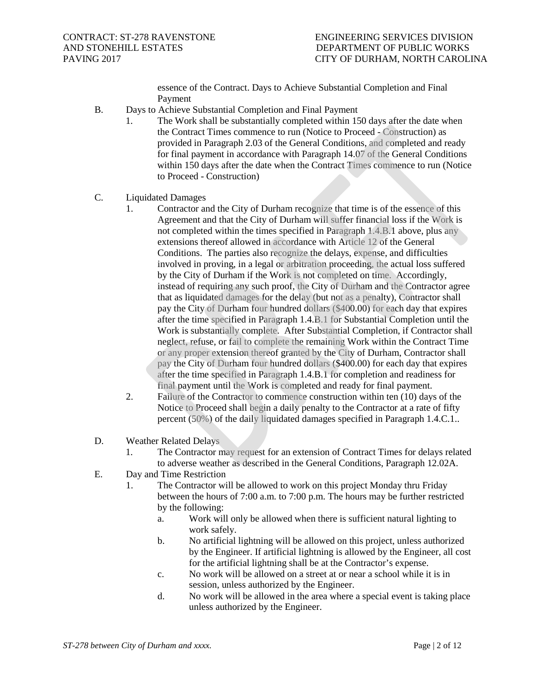essence of the Contract. Days to Achieve Substantial Completion and Final Payment

- B. Days to Achieve Substantial Completion and Final Payment
	- 1. The Work shall be substantially completed within 150 days after the date when the Contract Times commence to run (Notice to Proceed - Construction) as provided in Paragraph 2.03 of the General Conditions, and completed and ready for final payment in accordance with Paragraph 14.07 of the General Conditions within 150 days after the date when the Contract Times commence to run (Notice to Proceed - Construction)
- C. Liquidated Damages
	- 1. Contractor and the City of Durham recognize that time is of the essence of this Agreement and that the City of Durham will suffer financial loss if the Work is not completed within the times specified in Paragraph 1.4.B.1 above, plus any extensions thereof allowed in accordance with Article 12 of the General Conditions. The parties also recognize the delays, expense, and difficulties involved in proving, in a legal or arbitration proceeding, the actual loss suffered by the City of Durham if the Work is not completed on time. Accordingly, instead of requiring any such proof, the City of Durham and the Contractor agree that as liquidated damages for the delay (but not as a penalty), Contractor shall pay the City of Durham four hundred dollars (\$400.00) for each day that expires after the time specified in Paragraph 1.4.B.1 for Substantial Completion until the Work is substantially complete. After Substantial Completion, if Contractor shall neglect, refuse, or fail to complete the remaining Work within the Contract Time or any proper extension thereof granted by the City of Durham, Contractor shall pay the City of Durham four hundred dollars (\$400.00) for each day that expires after the time specified in Paragraph 1.4.B.1 for completion and readiness for final payment until the Work is completed and ready for final payment.
	- 2. Failure of the Contractor to commence construction within ten (10) days of the Notice to Proceed shall begin a daily penalty to the Contractor at a rate of fifty percent (50%) of the daily liquidated damages specified in Paragraph 1.4.C.1..
- D. Weather Related Delays
	- 1. The Contractor may request for an extension of Contract Times for delays related to adverse weather as described in the General Conditions, Paragraph 12.02A.
- E. Day and Time Restriction
	- 1. The Contractor will be allowed to work on this project Monday thru Friday between the hours of 7:00 a.m. to 7:00 p.m. The hours may be further restricted by the following:
		- a. Work will only be allowed when there is sufficient natural lighting to work safely.
		- b. No artificial lightning will be allowed on this project, unless authorized by the Engineer. If artificial lightning is allowed by the Engineer, all cost for the artificial lightning shall be at the Contractor's expense.
		- c. No work will be allowed on a street at or near a school while it is in session, unless authorized by the Engineer.
		- d. No work will be allowed in the area where a special event is taking place unless authorized by the Engineer.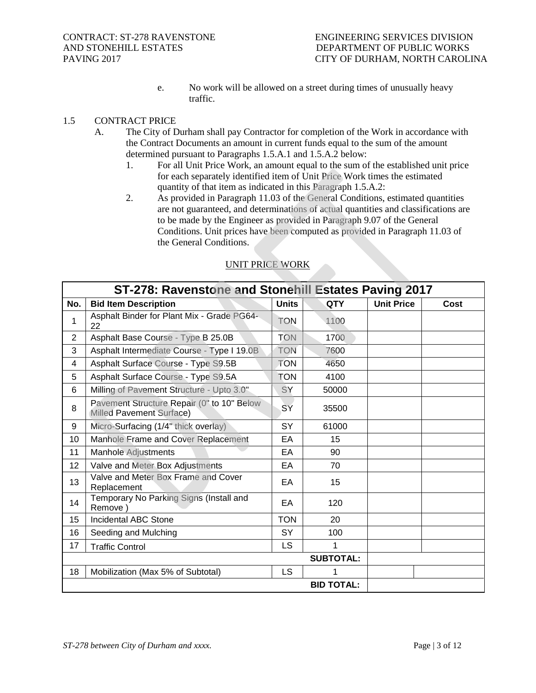e. No work will be allowed on a street during times of unusually heavy traffic.

## 1.5 CONTRACT PRICE

- A. The City of Durham shall pay Contractor for completion of the Work in accordance with the Contract Documents an amount in current funds equal to the sum of the amount determined pursuant to Paragraphs 1.5.A.1 and 1.5.A.2 below:
	- 1. For all Unit Price Work, an amount equal to the sum of the established unit price for each separately identified item of Unit Price Work times the estimated quantity of that item as indicated in this Paragraph 1.5.A.2:
	- 2. As provided in Paragraph 11.03 of the General Conditions, estimated quantities are not guaranteed, and determinations of actual quantities and classifications are to be made by the Engineer as provided in Paragraph 9.07 of the General Conditions. Unit prices have been computed as provided in Paragraph 11.03 of the General Conditions.

| ST-278: Ravenstone and Stonehill Estates Paving 2017 |                                                                        |              |                   |                   |      |  |
|------------------------------------------------------|------------------------------------------------------------------------|--------------|-------------------|-------------------|------|--|
| No.                                                  | <b>Bid Item Description</b>                                            | <b>Units</b> | <b>QTY</b>        | <b>Unit Price</b> | Cost |  |
| 1                                                    | Asphalt Binder for Plant Mix - Grade PG64-<br>22                       | <b>TON</b>   | 1100              |                   |      |  |
| $\overline{2}$                                       | Asphalt Base Course - Type B 25.0B                                     | <b>TON</b>   | 1700              |                   |      |  |
| 3                                                    | Asphalt Intermediate Course - Type I 19.0B                             | <b>TON</b>   | 7600              |                   |      |  |
| 4                                                    | Asphalt Surface Course - Type S9.5B                                    | <b>TON</b>   | 4650              |                   |      |  |
| 5                                                    | Asphalt Surface Course - Type S9.5A                                    | <b>TON</b>   | 4100              |                   |      |  |
| 6                                                    | Milling of Pavement Structure - Upto 3.0"                              | SY           | 50000             |                   |      |  |
| 8                                                    | Pavement Structure Repair (0" to 10" Below<br>Milled Pavement Surface) | SY           | 35500             |                   |      |  |
| 9                                                    | Micro-Surfacing (1/4" thick overlay)                                   | <b>SY</b>    | 61000             |                   |      |  |
| 10                                                   | Manhole Frame and Cover Replacement                                    | EA           | 15                |                   |      |  |
| 11                                                   | Manhole Adjustments                                                    | EA           | 90                |                   |      |  |
| 12                                                   | Valve and Meter Box Adjustments                                        | EA           | 70                |                   |      |  |
| 13                                                   | Valve and Meter Box Frame and Cover<br>Replacement                     | EA           | 15                |                   |      |  |
| 14                                                   | Temporary No Parking Signs (Install and<br>Remove)                     | EA           | 120               |                   |      |  |
| 15                                                   | <b>Incidental ABC Stone</b>                                            | <b>TON</b>   | 20                |                   |      |  |
| 16                                                   | Seeding and Mulching                                                   | <b>SY</b>    | 100               |                   |      |  |
| 17                                                   | <b>Traffic Control</b>                                                 | <b>LS</b>    | 1                 |                   |      |  |
| <b>SUBTOTAL:</b>                                     |                                                                        |              |                   |                   |      |  |
| 18                                                   | Mobilization (Max 5% of Subtotal)                                      | LS           | 1                 |                   |      |  |
|                                                      |                                                                        |              | <b>BID TOTAL:</b> |                   |      |  |

# UNIT PRICE WORK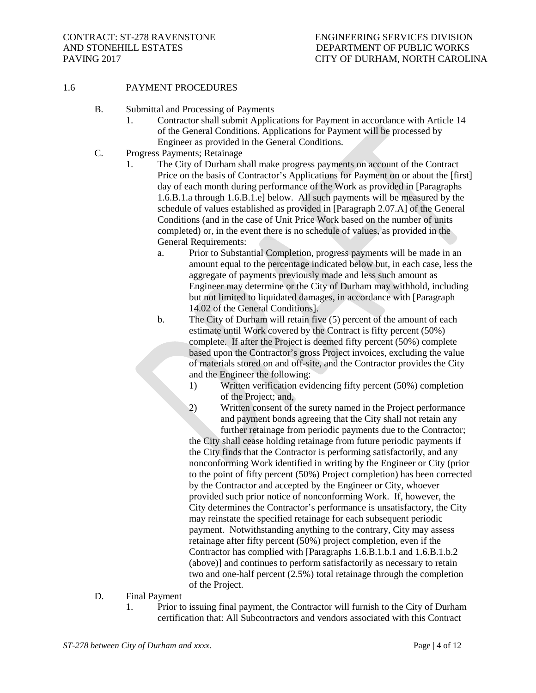#### 1.6 PAYMENT PROCEDURES

- B. Submittal and Processing of Payments
	- 1. Contractor shall submit Applications for Payment in accordance with Article 14 of the General Conditions. Applications for Payment will be processed by Engineer as provided in the General Conditions.
- C. Progress Payments; Retainage
	- 1. The City of Durham shall make progress payments on account of the Contract Price on the basis of Contractor's Applications for Payment on or about the [first] day of each month during performance of the Work as provided in [Paragraphs 1.6.B.1.a through 1.6.B.1.e] below. All such payments will be measured by the schedule of values established as provided in [Paragraph 2.07.A] of the General Conditions (and in the case of Unit Price Work based on the number of units completed) or, in the event there is no schedule of values, as provided in the General Requirements:
		- a. Prior to Substantial Completion, progress payments will be made in an amount equal to the percentage indicated below but, in each case, less the aggregate of payments previously made and less such amount as Engineer may determine or the City of Durham may withhold, including but not limited to liquidated damages, in accordance with [Paragraph 14.02 of the General Conditions].
		- b. The City of Durham will retain five (5) percent of the amount of each estimate until Work covered by the Contract is fifty percent (50%) complete. If after the Project is deemed fifty percent (50%) complete based upon the Contractor's gross Project invoices, excluding the value of materials stored on and off-site, and the Contractor provides the City and the Engineer the following:
			- 1) Written verification evidencing fifty percent (50%) completion of the Project; and,
			- 2) Written consent of the surety named in the Project performance and payment bonds agreeing that the City shall not retain any further retainage from periodic payments due to the Contractor;

the City shall cease holding retainage from future periodic payments if the City finds that the Contractor is performing satisfactorily, and any nonconforming Work identified in writing by the Engineer or City (prior to the point of fifty percent (50%) Project completion) has been corrected by the Contractor and accepted by the Engineer or City, whoever provided such prior notice of nonconforming Work. If, however, the City determines the Contractor's performance is unsatisfactory, the City may reinstate the specified retainage for each subsequent periodic payment. Notwithstanding anything to the contrary, City may assess retainage after fifty percent (50%) project completion, even if the Contractor has complied with [Paragraphs 1.6.B.1.b.1 and 1.6.B.1.b.2 (above)] and continues to perform satisfactorily as necessary to retain two and one-half percent (2.5%) total retainage through the completion of the Project.

- D. Final Payment
	- 1. Prior to issuing final payment, the Contractor will furnish to the City of Durham certification that: All Subcontractors and vendors associated with this Contract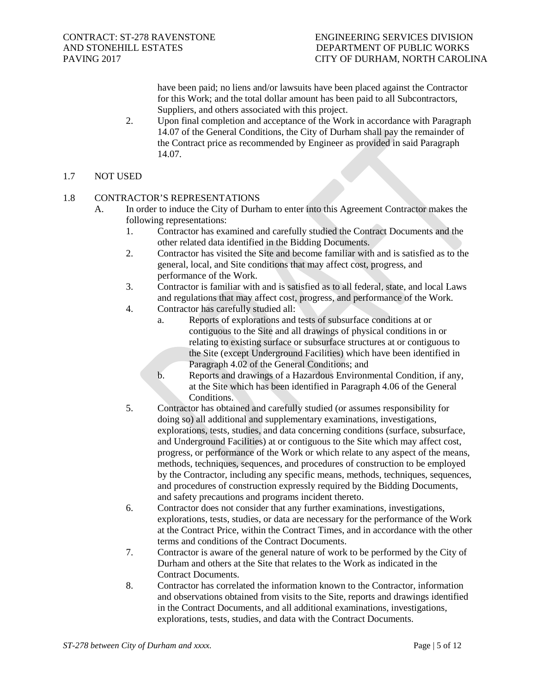have been paid; no liens and/or lawsuits have been placed against the Contractor for this Work; and the total dollar amount has been paid to all Subcontractors, Suppliers, and others associated with this project.

2. Upon final completion and acceptance of the Work in accordance with Paragraph 14.07 of the General Conditions, the City of Durham shall pay the remainder of the Contract price as recommended by Engineer as provided in said Paragraph 14.07.

## 1.7 NOT USED

## 1.8 CONTRACTOR'S REPRESENTATIONS

- A. In order to induce the City of Durham to enter into this Agreement Contractor makes the following representations:
	- 1. Contractor has examined and carefully studied the Contract Documents and the other related data identified in the Bidding Documents.
	- 2. Contractor has visited the Site and become familiar with and is satisfied as to the general, local, and Site conditions that may affect cost, progress, and performance of the Work.
	- 3. Contractor is familiar with and is satisfied as to all federal, state, and local Laws and regulations that may affect cost, progress, and performance of the Work.
	- 4. Contractor has carefully studied all:
		- a. Reports of explorations and tests of subsurface conditions at or contiguous to the Site and all drawings of physical conditions in or relating to existing surface or subsurface structures at or contiguous to the Site (except Underground Facilities) which have been identified in Paragraph 4.02 of the General Conditions; and
		- b. Reports and drawings of a Hazardous Environmental Condition, if any, at the Site which has been identified in Paragraph 4.06 of the General Conditions.
	- 5. Contractor has obtained and carefully studied (or assumes responsibility for doing so) all additional and supplementary examinations, investigations, explorations, tests, studies, and data concerning conditions (surface, subsurface, and Underground Facilities) at or contiguous to the Site which may affect cost, progress, or performance of the Work or which relate to any aspect of the means, methods, techniques, sequences, and procedures of construction to be employed by the Contractor, including any specific means, methods, techniques, sequences, and procedures of construction expressly required by the Bidding Documents, and safety precautions and programs incident thereto.
	- 6. Contractor does not consider that any further examinations, investigations, explorations, tests, studies, or data are necessary for the performance of the Work at the Contract Price, within the Contract Times, and in accordance with the other terms and conditions of the Contract Documents.
	- 7. Contractor is aware of the general nature of work to be performed by the City of Durham and others at the Site that relates to the Work as indicated in the Contract Documents.
	- 8. Contractor has correlated the information known to the Contractor, information and observations obtained from visits to the Site, reports and drawings identified in the Contract Documents, and all additional examinations, investigations, explorations, tests, studies, and data with the Contract Documents.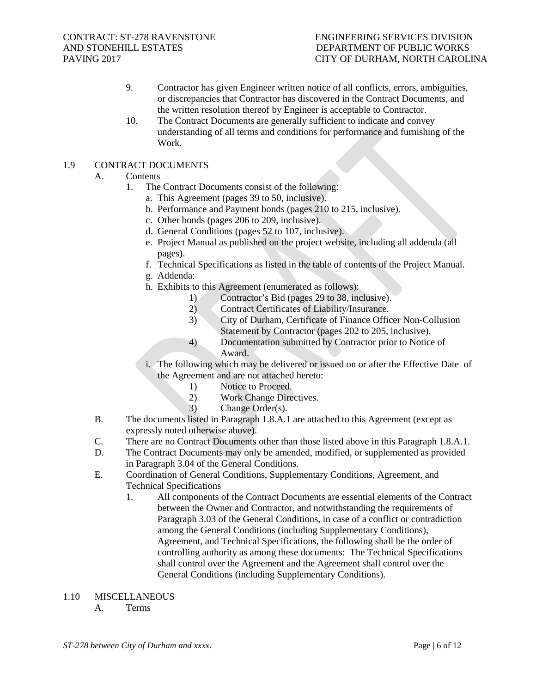- 9. Contractor has given Engineer written notice of all conflicts, errors, ambiguities, or discrepancies that Contractor has discovered in the Contract Documents, and the written resolution thereof by Engineer is acceptable to Contractor.
- 10. The Contract Documents are generally sufficient to indicate and convey understanding of all terms and conditions for performance and furnishing of the Work.

#### 1.9 CONTRACT DOCUMENTS

## A. Contents

- 1. The Contract Documents consist of the following:
	- a. This Agreement (pages 39 to 50, inclusive).
		- b. Performance and Payment bonds (pages 210 to 215, inclusive).
		- c. Other bonds (pages 206 to 209, inclusive).
		- d. General Conditions (pages 52 to 107, inclusive).
		- e. Project Manual as published on the project website, including all addenda (all pages).
		- f. Technical Specifications as listed in the table of contents of the Project Manual.
	- g. Addenda:
	- h. Exhibits to this Agreement (enumerated as follows):
		- 1) Contractor's Bid (pages 29 to 38, inclusive).<br>2) Contract Certificates of Liability/Insurance.
		- 2) Contract Certificates of Liability/Insurance.
		- 3) City of Durham, Certificate of Finance Officer Non-Collusion Statement by Contractor (pages 202 to 205, inclusive).
		- 4) Documentation submitted by Contractor prior to Notice of Award.
	- i. The following which may be delivered or issued on or after the Effective Date of the Agreement and are not attached hereto:
		- 1) Notice to Proceed.
		- 2) Work Change Directives.
		- 3) Change Order(s).
- B. The documents listed in Paragraph 1.8.A.1 are attached to this Agreement (except as expressly noted otherwise above).
- C. There are no Contract Documents other than those listed above in this Paragraph 1.8.A.1.
- D. The Contract Documents may only be amended, modified, or supplemented as provided in Paragraph 3.04 of the General Conditions.
- E. Coordination of General Conditions, Supplementary Conditions, Agreement, and Technical Specifications
	- 1. All components of the Contract Documents are essential elements of the Contract between the Owner and Contractor, and notwithstanding the requirements of Paragraph 3.03 of the General Conditions, in case of a conflict or contradiction among the General Conditions (including Supplementary Conditions), Agreement, and Technical Specifications, the following shall be the order of controlling authority as among these documents: The Technical Specifications shall control over the Agreement and the Agreement shall control over the General Conditions (including Supplementary Conditions).
- 1.10 MISCELLANEOUS
	- A. Terms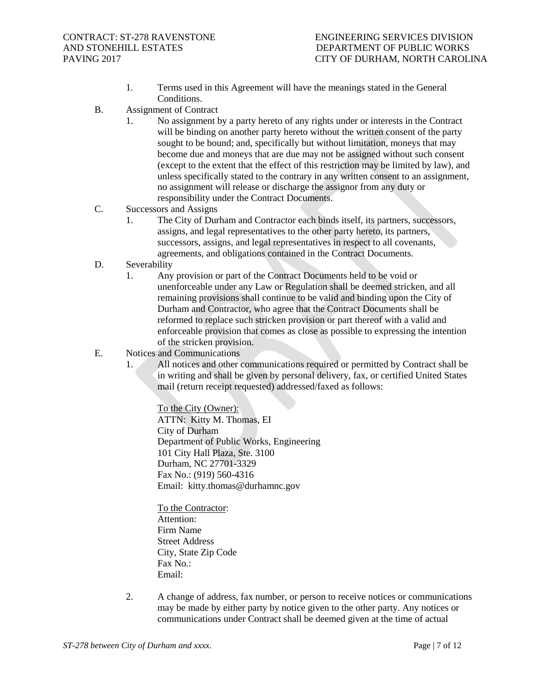- 1. Terms used in this Agreement will have the meanings stated in the General Conditions.
- B. Assignment of Contract
	- 1. No assignment by a party hereto of any rights under or interests in the Contract will be binding on another party hereto without the written consent of the party sought to be bound; and, specifically but without limitation, moneys that may become due and moneys that are due may not be assigned without such consent (except to the extent that the effect of this restriction may be limited by law), and unless specifically stated to the contrary in any written consent to an assignment, no assignment will release or discharge the assignor from any duty or responsibility under the Contract Documents.
- C. Successors and Assigns
	- 1. The City of Durham and Contractor each binds itself, its partners, successors, assigns, and legal representatives to the other party hereto, its partners, successors, assigns, and legal representatives in respect to all covenants, agreements, and obligations contained in the Contract Documents.
- D. Severability
	- 1. Any provision or part of the Contract Documents held to be void or unenforceable under any Law or Regulation shall be deemed stricken, and all remaining provisions shall continue to be valid and binding upon the City of Durham and Contractor, who agree that the Contract Documents shall be reformed to replace such stricken provision or part thereof with a valid and enforceable provision that comes as close as possible to expressing the intention of the stricken provision.
- E. Notices and Communications
	- 1. All notices and other communications required or permitted by Contract shall be in writing and shall be given by personal delivery, fax, or certified United States mail (return receipt requested) addressed/faxed as follows:

To the City (Owner): ATTN: Kitty M. Thomas, EI City of Durham Department of Public Works, Engineering 101 City Hall Plaza, Ste. 3100 Durham, NC 27701-3329 Fax No.: (919) 560-4316 Email: kitty.thomas@durhamnc.gov

To the Contractor: Attention: Firm Name Street Address City, State Zip Code Fax No.: Email:

2. A change of address, fax number, or person to receive notices or communications may be made by either party by notice given to the other party. Any notices or communications under Contract shall be deemed given at the time of actual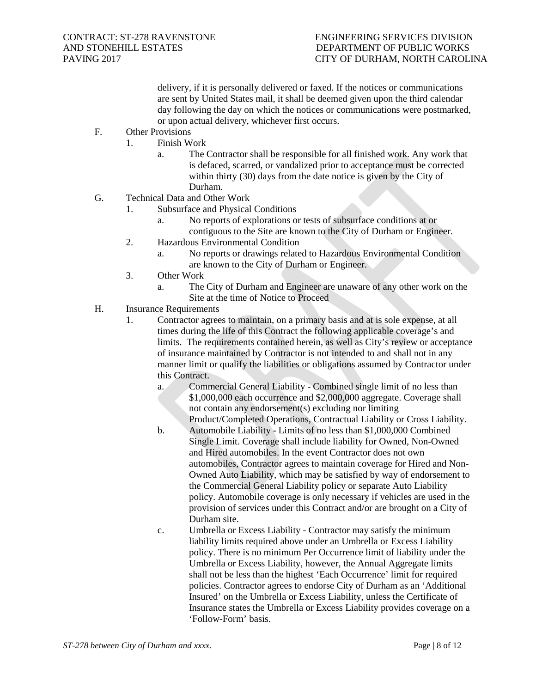delivery, if it is personally delivered or faxed. If the notices or communications are sent by United States mail, it shall be deemed given upon the third calendar day following the day on which the notices or communications were postmarked, or upon actual delivery, whichever first occurs.

- F. Other Provisions
	- 1. Finish Work
		- a. The Contractor shall be responsible for all finished work. Any work that is defaced, scarred, or vandalized prior to acceptance must be corrected within thirty (30) days from the date notice is given by the City of Durham.
- G. Technical Data and Other Work
	- 1. Subsurface and Physical Conditions
		- a. No reports of explorations or tests of subsurface conditions at or contiguous to the Site are known to the City of Durham or Engineer.
	- 2. Hazardous Environmental Condition
		- a. No reports or drawings related to Hazardous Environmental Condition are known to the City of Durham or Engineer.
	- 3. Other Work
		- a. The City of Durham and Engineer are unaware of any other work on the Site at the time of Notice to Proceed
- H. Insurance Requirements
	- 1. Contractor agrees to maintain, on a primary basis and at is sole expense, at all times during the life of this Contract the following applicable coverage's and limits. The requirements contained herein, as well as City's review or acceptance of insurance maintained by Contractor is not intended to and shall not in any manner limit or qualify the liabilities or obligations assumed by Contractor under this Contract.
		- a. Commercial General Liability Combined single limit of no less than \$1,000,000 each occurrence and \$2,000,000 aggregate. Coverage shall not contain any endorsement(s) excluding nor limiting Product/Completed Operations, Contractual Liability or Cross Liability.
		- b. Automobile Liability Limits of no less than \$1,000,000 Combined Single Limit. Coverage shall include liability for Owned, Non-Owned and Hired automobiles. In the event Contractor does not own automobiles, Contractor agrees to maintain coverage for Hired and Non-Owned Auto Liability, which may be satisfied by way of endorsement to the Commercial General Liability policy or separate Auto Liability policy. Automobile coverage is only necessary if vehicles are used in the provision of services under this Contract and/or are brought on a City of Durham site.
		- c. Umbrella or Excess Liability Contractor may satisfy the minimum liability limits required above under an Umbrella or Excess Liability policy. There is no minimum Per Occurrence limit of liability under the Umbrella or Excess Liability, however, the Annual Aggregate limits shall not be less than the highest 'Each Occurrence' limit for required policies. Contractor agrees to endorse City of Durham as an 'Additional Insured' on the Umbrella or Excess Liability, unless the Certificate of Insurance states the Umbrella or Excess Liability provides coverage on a 'Follow-Form' basis.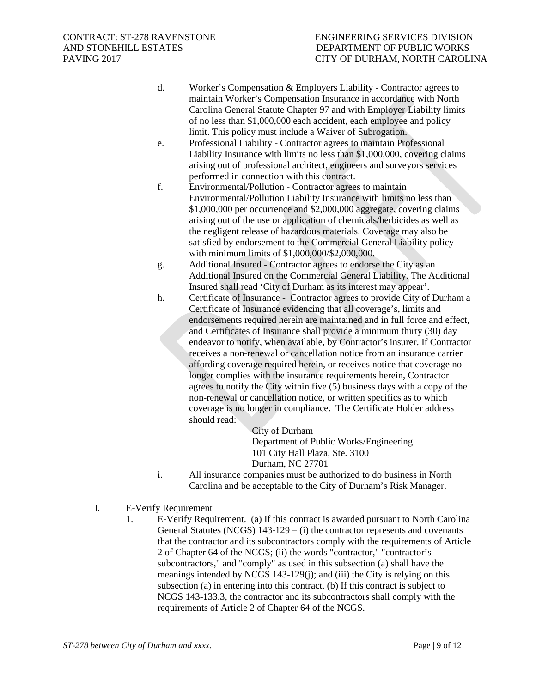- d. Worker's Compensation & Employers Liability Contractor agrees to maintain Worker's Compensation Insurance in accordance with North Carolina General Statute Chapter 97 and with Employer Liability limits of no less than \$1,000,000 each accident, each employee and policy limit. This policy must include a Waiver of Subrogation.
- e. Professional Liability Contractor agrees to maintain Professional Liability Insurance with limits no less than \$1,000,000, covering claims arising out of professional architect, engineers and surveyors services performed in connection with this contract.
- f. Environmental/Pollution Contractor agrees to maintain Environmental/Pollution Liability Insurance with limits no less than \$1,000,000 per occurrence and \$2,000,000 aggregate, covering claims arising out of the use or application of chemicals/herbicides as well as the negligent release of hazardous materials. Coverage may also be satisfied by endorsement to the Commercial General Liability policy with minimum limits of \$1,000,000/\$2,000,000.
- g. Additional Insured Contractor agrees to endorse the City as an Additional Insured on the Commercial General Liability. The Additional Insured shall read 'City of Durham as its interest may appear'.
- h. Certificate of Insurance Contractor agrees to provide City of Durham a Certificate of Insurance evidencing that all coverage's, limits and endorsements required herein are maintained and in full force and effect, and Certificates of Insurance shall provide a minimum thirty (30) day endeavor to notify, when available, by Contractor's insurer. If Contractor receives a non-renewal or cancellation notice from an insurance carrier affording coverage required herein, or receives notice that coverage no longer complies with the insurance requirements herein, Contractor agrees to notify the City within five (5) business days with a copy of the non-renewal or cancellation notice, or written specifics as to which coverage is no longer in compliance. The Certificate Holder address should read:

City of Durham Department of Public Works/Engineering 101 City Hall Plaza, Ste. 3100 Durham, NC 27701

- i. All insurance companies must be authorized to do business in North Carolina and be acceptable to the City of Durham's Risk Manager.
- I. E-Verify Requirement
	- 1. E-Verify Requirement. (a) If this contract is awarded pursuant to North Carolina General Statutes (NCGS) 143-129 – (i) the contractor represents and covenants that the contractor and its subcontractors comply with the requirements of Article 2 of Chapter 64 of the NCGS; (ii) the words "contractor," "contractor's subcontractors," and "comply" as used in this subsection (a) shall have the meanings intended by NCGS 143-129(j); and (iii) the City is relying on this subsection (a) in entering into this contract. (b) If this contract is subject to NCGS 143-133.3, the contractor and its subcontractors shall comply with the requirements of Article 2 of Chapter 64 of the NCGS.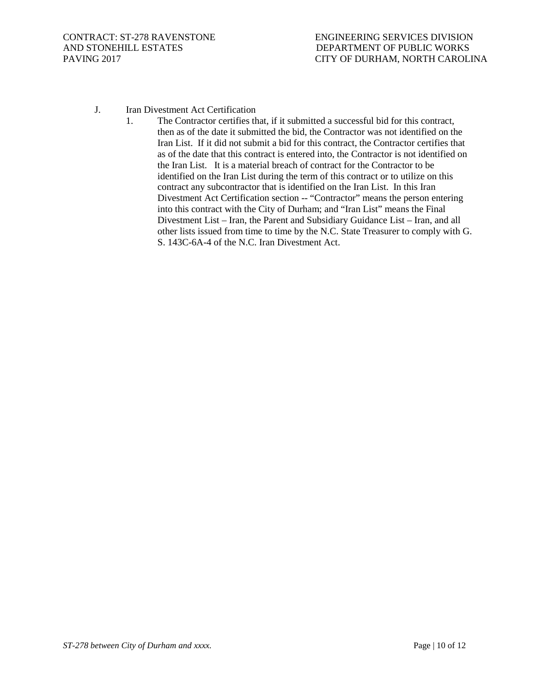- J. Iran Divestment Act Certification
	- 1. The Contractor certifies that, if it submitted a successful bid for this contract, then as of the date it submitted the bid, the Contractor was not identified on the Iran List. If it did not submit a bid for this contract, the Contractor certifies that as of the date that this contract is entered into, the Contractor is not identified on the Iran List. It is a material breach of contract for the Contractor to be identified on the Iran List during the term of this contract or to utilize on this contract any subcontractor that is identified on the Iran List. In this Iran Divestment Act Certification section -- "Contractor" means the person entering into this contract with the City of Durham; and "Iran List" means the Final Divestment List – Iran, the Parent and Subsidiary Guidance List – Iran, and all other lists issued from time to time by the N.C. State Treasurer to comply with G. S. 143C-6A-4 of the N.C. Iran Divestment Act.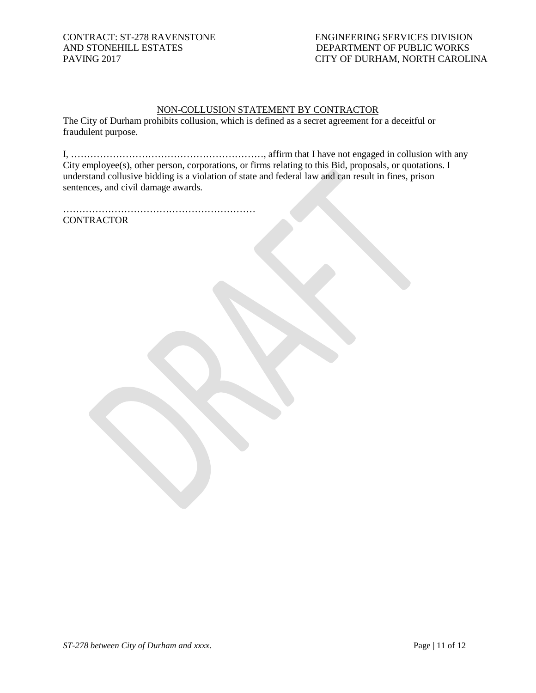## NON-COLLUSION STATEMENT BY CONTRACTOR

The City of Durham prohibits collusion, which is defined as a secret agreement for a deceitful or fraudulent purpose.

I, ……………………………………………………, affirm that I have not engaged in collusion with any City employee(s), other person, corporations, or firms relating to this Bid, proposals, or quotations. I understand collusive bidding is a violation of state and federal law and can result in fines, prison sentences, and civil damage awards.

…………………………………………………… **CONTRACTOR**